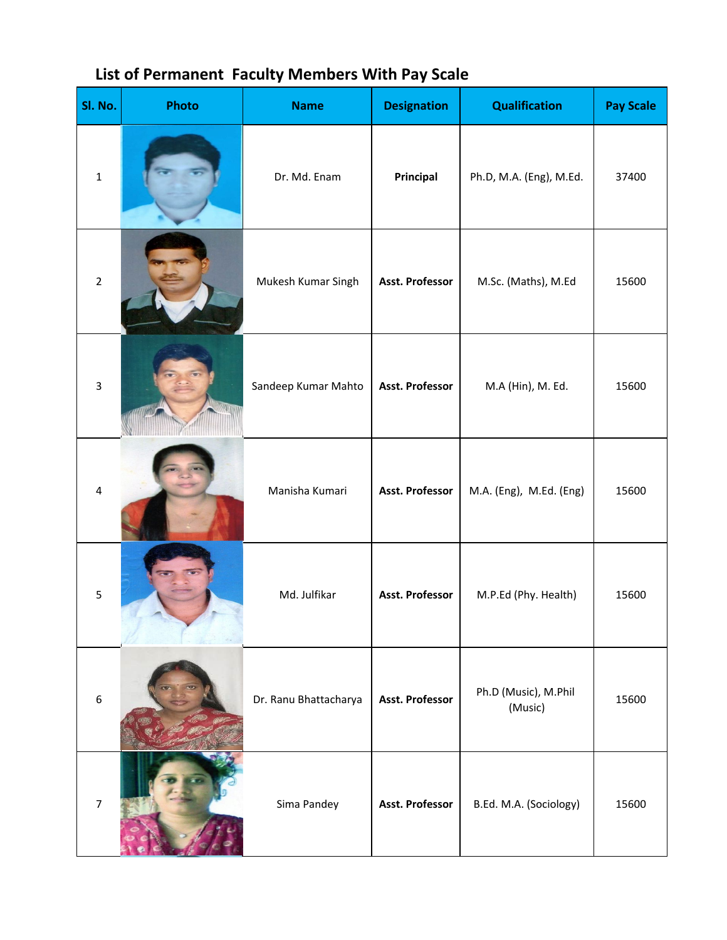| Sl. No.          | Photo                      | <b>Name</b>           | <b>Designation</b>     | <b>Qualification</b>            | <b>Pay Scale</b> |
|------------------|----------------------------|-----------------------|------------------------|---------------------------------|------------------|
| $\mathbf 1$      |                            | Dr. Md. Enam          | Principal              | Ph.D, M.A. (Eng), M.Ed.         | 37400            |
| $\overline{2}$   |                            | Mukesh Kumar Singh    | Asst. Professor        | M.Sc. (Maths), M.Ed             | 15600            |
| $\mathbf{3}$     | <b><i><u>OTTOM</u></i></b> | Sandeep Kumar Mahto   | Asst. Professor        | M.A (Hin), M. Ed.               | 15600            |
| 4                |                            | Manisha Kumari        | Asst. Professor        | M.A. (Eng), M.Ed. (Eng)         | 15600            |
| $\mathsf S$      |                            | Md. Julfikar          | Asst. Professor        | M.P.Ed (Phy. Health)            | 15600            |
| $\boldsymbol{6}$ |                            | Dr. Ranu Bhattacharya | <b>Asst. Professor</b> | Ph.D (Music), M.Phil<br>(Music) | 15600            |
| $\overline{7}$   |                            | Sima Pandey           | Asst. Professor        | B.Ed. M.A. (Sociology)          | 15600            |

## **List of Permanent Faculty Members With Pay Scale**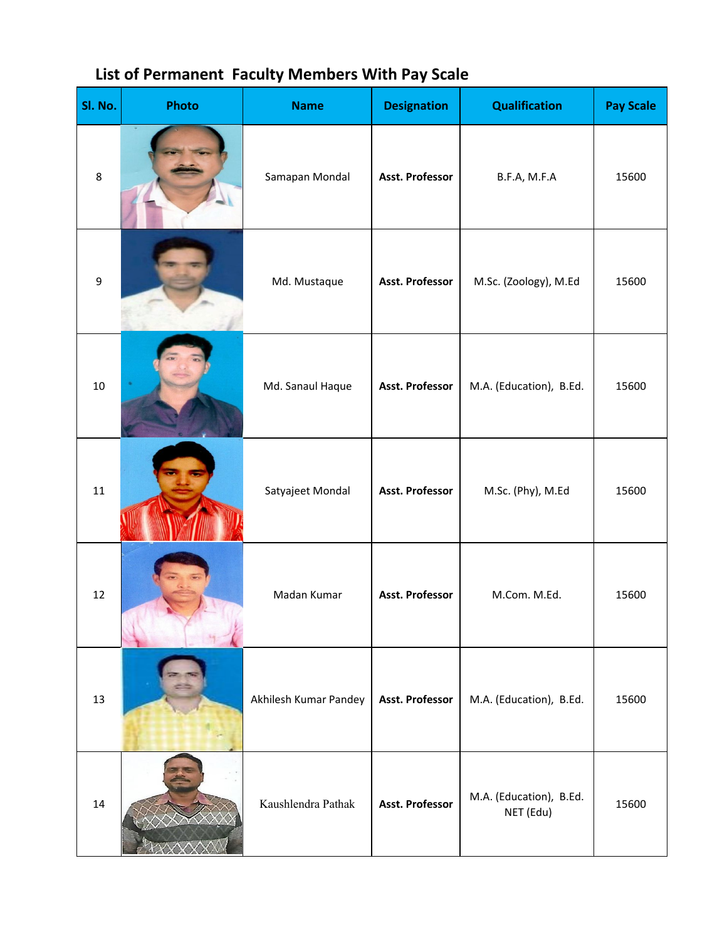| Sl. No. | Photo | <b>Name</b>           | <b>Designation</b> | <b>Qualification</b>                 | <b>Pay Scale</b> |
|---------|-------|-----------------------|--------------------|--------------------------------------|------------------|
| 8       |       | Samapan Mondal        | Asst. Professor    | B.F.A, M.F.A                         | 15600            |
| 9       |       | Md. Mustaque          | Asst. Professor    | M.Sc. (Zoology), M.Ed                | 15600            |
| 10      |       | Md. Sanaul Haque      | Asst. Professor    | M.A. (Education), B.Ed.              | 15600            |
| 11      |       | Satyajeet Mondal      | Asst. Professor    | M.Sc. (Phy), M.Ed                    | 15600            |
| 12      |       | Madan Kumar           | Asst. Professor    | M.Com. M.Ed.                         | 15600            |
| 13      |       | Akhilesh Kumar Pandey | Asst. Professor    | M.A. (Education), B.Ed.              | 15600            |
| 14      |       | Kaushlendra Pathak    | Asst. Professor    | M.A. (Education), B.Ed.<br>NET (Edu) | 15600            |

## **List of Permanent Faculty Members With Pay Scale**